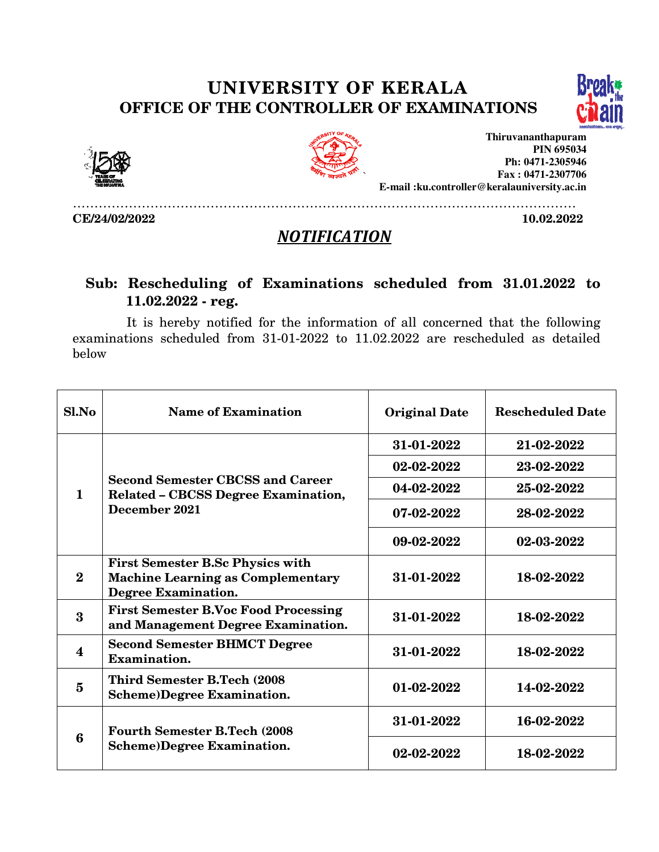## UNIVERSITY OF KERALA UNIVERSITY OF OFFICE OF THE CONTROLLER OF EXAMINATIONS





CE/24/02/2022



**Thiruvananthapuram E-mail :ku.controller@keralauniversity.ac.in mail PIN 695034 Ph: 0471-2305946 Fax : 0471-2307706** 

……………………………………………………………………………………………………… 10.02.2022

## **NOTIFICATION**

## Sub: Rescheduling of Examinations scheduled from 31.01.2022 to 11.02.2022 - reg.

It is hereby notified for the information of all concerned that the following examinations scheduled from 31-01-2022 to 11.02.2022 are rescheduled as detailed below

| S1. No                  | <b>Name of Examination</b>                                                                                        | <b>Original Date</b> | <b>Rescheduled Date</b> |
|-------------------------|-------------------------------------------------------------------------------------------------------------------|----------------------|-------------------------|
| $\mathbf{1}$            | <b>Second Semester CBCSS and Career</b><br><b>Related - CBCSS Degree Examination,</b><br>December 2021            | 31-01-2022           | 21-02-2022              |
|                         |                                                                                                                   | 02-02-2022           | 23-02-2022              |
|                         |                                                                                                                   | 04-02-2022           | 25-02-2022              |
|                         |                                                                                                                   | 07-02-2022           | 28-02-2022              |
|                         |                                                                                                                   | 09-02-2022           | 02-03-2022              |
| $\mathbf{2}$            | <b>First Semester B.Sc Physics with</b><br><b>Machine Learning as Complementary</b><br><b>Degree Examination.</b> | 31-01-2022           | 18-02-2022              |
| 3                       | <b>First Semester B.Voc Food Processing</b><br>and Management Degree Examination.                                 | 31-01-2022           | 18-02-2022              |
| $\overline{\mathbf{4}}$ | <b>Second Semester BHMCT Degree</b><br>Examination.                                                               | 31-01-2022           | 18-02-2022              |
| 5                       | <b>Third Semester B.Tech (2008)</b><br><b>Scheme)Degree Examination.</b>                                          | 01-02-2022           | 14-02-2022              |
| 6                       | <b>Fourth Semester B.Tech (2008)</b><br><b>Scheme)Degree Examination.</b>                                         | 31-01-2022           | 16-02-2022              |
|                         |                                                                                                                   | 02-02-2022           | 18-02-2022              |